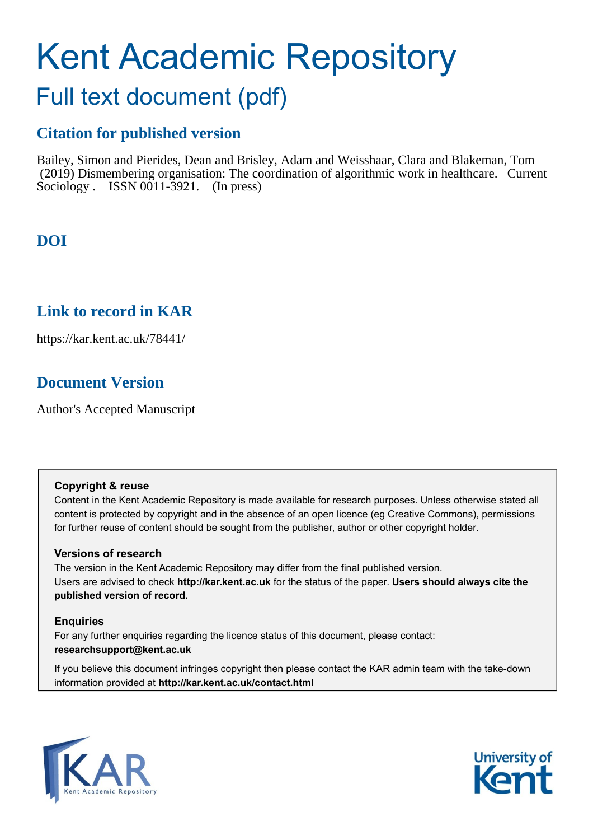# Kent Academic Repository

## Full text document (pdf)

## **Citation for published version**

Bailey, Simon and Pierides, Dean and Brisley, Adam and Weisshaar, Clara and Blakeman, Tom (2019) Dismembering organisation: The coordination of algorithmic work in healthcare. Current Sociology . ISSN 0011-3921. (In press)

## **DOI**

### **Link to record in KAR**

https://kar.kent.ac.uk/78441/

## **Document Version**

Author's Accepted Manuscript

#### **Copyright & reuse**

Content in the Kent Academic Repository is made available for research purposes. Unless otherwise stated all content is protected by copyright and in the absence of an open licence (eg Creative Commons), permissions for further reuse of content should be sought from the publisher, author or other copyright holder.

#### **Versions of research**

The version in the Kent Academic Repository may differ from the final published version. Users are advised to check **http://kar.kent.ac.uk** for the status of the paper. **Users should always cite the published version of record.**

#### **Enquiries**

For any further enquiries regarding the licence status of this document, please contact: **researchsupport@kent.ac.uk**

If you believe this document infringes copyright then please contact the KAR admin team with the take-down information provided at **http://kar.kent.ac.uk/contact.html**



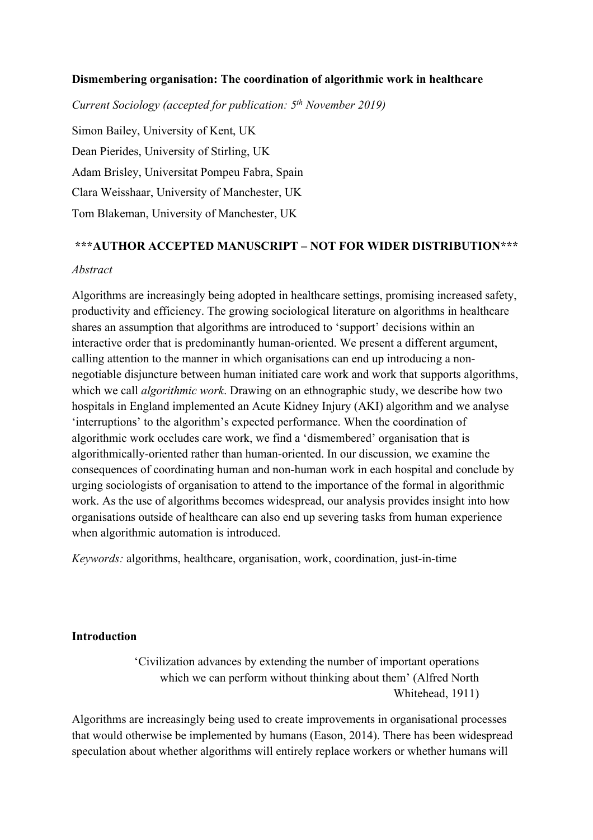#### **Dismembering organisation: The coordination of algorithmic work in healthcare**

*Current Sociology (accepted for publication: 5th November 2019)*

Simon Bailey, University of Kent, UK Dean Pierides, University of Stirling, UK Adam Brisley, Universitat Pompeu Fabra, Spain Clara Weisshaar, University of Manchester, UK Tom Blakeman, University of Manchester, UK

#### **\*\*\*AUTHOR ACCEPTED MANUSCRIPT – NOT FOR WIDER DISTRIBUTION\*\*\***

#### *Abstract*

Algorithms are increasingly being adopted in healthcare settings, promising increased safety, productivity and efficiency. The growing sociological literature on algorithms in healthcare shares an assumption that algorithms are introduced to 'support' decisions within an interactive order that is predominantly human-oriented. We present a different argument, calling attention to the manner in which organisations can end up introducing a nonnegotiable disjuncture between human initiated care work and work that supports algorithms, which we call *algorithmic work*. Drawing on an ethnographic study, we describe how two hospitals in England implemented an Acute Kidney Injury (AKI) algorithm and we analyse 'interruptions' to the algorithm's expected performance. When the coordination of algorithmic work occludes care work, we find a 'dismembered' organisation that is algorithmically-oriented rather than human-oriented. In our discussion, we examine the consequences of coordinating human and non-human work in each hospital and conclude by urging sociologists of organisation to attend to the importance of the formal in algorithmic work. As the use of algorithms becomes widespread, our analysis provides insight into how organisations outside of healthcare can also end up severing tasks from human experience when algorithmic automation is introduced.

*Keywords:* algorithms, healthcare, organisation, work, coordination, just-in-time

#### **Introduction**

'Civilization advances by extending the number of important operations which we can perform without thinking about them' (Alfred North Whitehead, 1911)

Algorithms are increasingly being used to create improvements in organisational processes that would otherwise be implemented by humans (Eason, 2014). There has been widespread speculation about whether algorithms will entirely replace workers or whether humans will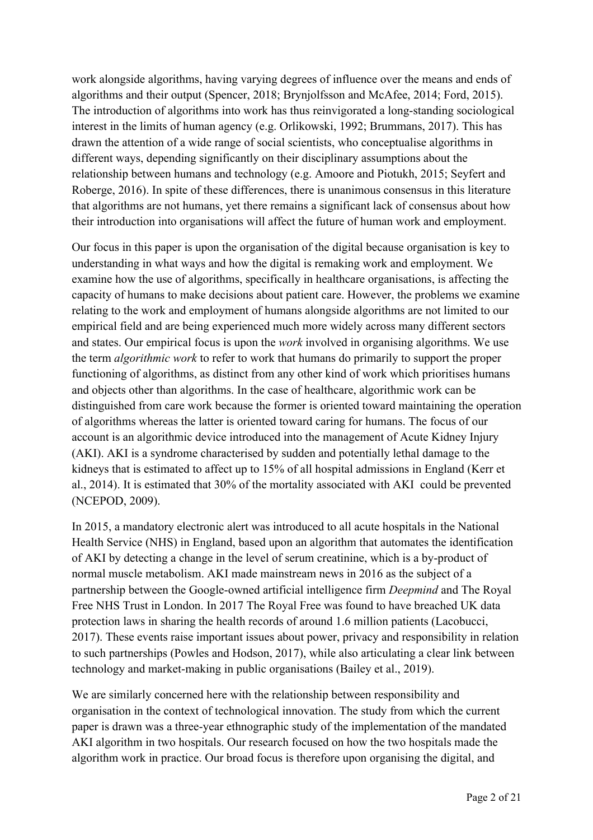work alongside algorithms, having varying degrees of influence over the means and ends of algorithms and their output (Spencer, 2018; Brynjolfsson and McAfee, 2014; Ford, 2015). The introduction of algorithms into work has thus reinvigorated a long-standing sociological interest in the limits of human agency (e.g. Orlikowski, 1992; Brummans, 2017). This has drawn the attention of a wide range of social scientists, who conceptualise algorithms in different ways, depending significantly on their disciplinary assumptions about the relationship between humans and technology (e.g. Amoore and Piotukh, 2015; Seyfert and Roberge, 2016). In spite of these differences, there is unanimous consensus in this literature that algorithms are not humans, yet there remains a significant lack of consensus about how their introduction into organisations will affect the future of human work and employment.

Our focus in this paper is upon the organisation of the digital because organisation is key to understanding in what ways and how the digital is remaking work and employment. We examine how the use of algorithms, specifically in healthcare organisations, is affecting the capacity of humans to make decisions about patient care. However, the problems we examine relating to the work and employment of humans alongside algorithms are not limited to our empirical field and are being experienced much more widely across many different sectors and states. Our empirical focus is upon the *work* involved in organising algorithms. We use the term *algorithmic work* to refer to work that humans do primarily to support the proper functioning of algorithms, as distinct from any other kind of work which prioritises humans and objects other than algorithms. In the case of healthcare, algorithmic work can be distinguished from care work because the former is oriented toward maintaining the operation of algorithms whereas the latter is oriented toward caring for humans. The focus of our account is an algorithmic device introduced into the management of Acute Kidney Injury (AKI). AKI is a syndrome characterised by sudden and potentially lethal damage to the kidneys that is estimated to affect up to 15% of all hospital admissions in England (Kerr et al., 2014). It is estimated that 30% of the mortality associated with AKI could be prevented (NCEPOD, 2009).

In 2015, a mandatory electronic alert was introduced to all acute hospitals in the National Health Service (NHS) in England, based upon an algorithm that automates the identification of AKI by detecting a change in the level of serum creatinine, which is a by-product of normal muscle metabolism. AKI made mainstream news in 2016 as the subject of a partnership between the Google-owned artificial intelligence firm *Deepmind* and The Royal Free NHS Trust in London. In 2017 The Royal Free was found to have breached UK data protection laws in sharing the health records of around 1.6 million patients (Lacobucci, 2017). These events raise important issues about power, privacy and responsibility in relation to such partnerships (Powles and Hodson, 2017), while also articulating a clear link between technology and market-making in public organisations (Bailey et al., 2019).

We are similarly concerned here with the relationship between responsibility and organisation in the context of technological innovation. The study from which the current paper is drawn was a three-year ethnographic study of the implementation of the mandated AKI algorithm in two hospitals. Our research focused on how the two hospitals made the algorithm work in practice. Our broad focus is therefore upon organising the digital, and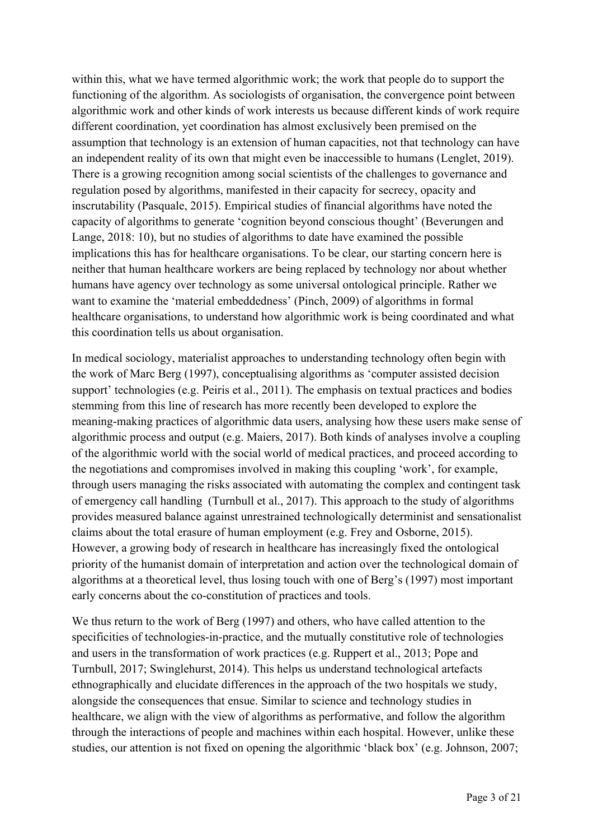within this, what we have termed algorithmic work; the work that people do to support the functioning of the algorithm. As sociologists of organisation, the convergence point between algorithmic work and other kinds of work interests us because different kinds of work require different coordination, yet coordination has almost exclusively been premised on the assumption that technology is an extension of human capacities, not that technology can have an independent reality of its own that might even be inaccessible to humans (Lenglet, 2019). There is a growing recognition among social scientists of the challenges to governance and regulation posed by algorithms, manifested in their capacity for secrecy, opacity and inscrutability (Pasquale, 2015). Empirical studies of financial algorithms have noted the capacity of algorithms to generate 'cognition beyond conscious thought' (Beverungen and Lange, 2018: 10), but no studies of algorithms to date have examined the possible implications this has for healthcare organisations. To be clear, our starting concern here is neither that human healthcare workers are being replaced by technology nor about whether humans have agency over technology as some universal ontological principle. Rather we want to examine the 'material embeddedness' (Pinch, 2009) of algorithms in formal healthcare organisations, to understand how algorithmic work is being coordinated and what this coordination tells us about organisation.

In medical sociology, materialist approaches to understanding technology often begin with the work of Marc Berg (1997), conceptualising algorithms as 'computer assisted decision support' technologies (e.g. Peiris et al., 2011). The emphasis on textual practices and bodies stemming from this line of research has more recently been developed to explore the meaning-making practices of algorithmic data users, analysing how these users make sense of algorithmic process and output (e.g. Maiers, 2017). Both kinds of analyses involve a coupling of the algorithmic world with the social world of medical practices, and proceed according to the negotiations and compromises involved in making this coupling 'work', for example, through users managing the risks associated with automating the complex and contingent task of emergency call handling (Turnbull et al., 2017). This approach to the study of algorithms provides measured balance against unrestrained technologically determinist and sensationalist claims about the total erasure of human employment (e.g. Frey and Osborne, 2015). However, a growing body of research in healthcare has increasingly fixed the ontological priority of the humanist domain of interpretation and action over the technological domain of algorithms at a theoretical level, thus losing touch with one of Berg's (1997) most important early concerns about the co-constitution of practices and tools.

We thus return to the work of Berg (1997) and others, who have called attention to the specificities of technologies-in-practice, and the mutually constitutive role of technologies and users in the transformation of work practices (e.g. Ruppert et al., 2013; Pope and Turnbull, 2017; Swinglehurst, 2014). This helps us understand technological artefacts ethnographically and elucidate differences in the approach of the two hospitals we study, alongside the consequences that ensue. Similar to science and technology studies in healthcare, we align with the view of algorithms as performative, and follow the algorithm through the interactions of people and machines within each hospital. However, unlike these studies, our attention is not fixed on opening the algorithmic 'black box' (e.g. Johnson, 2007;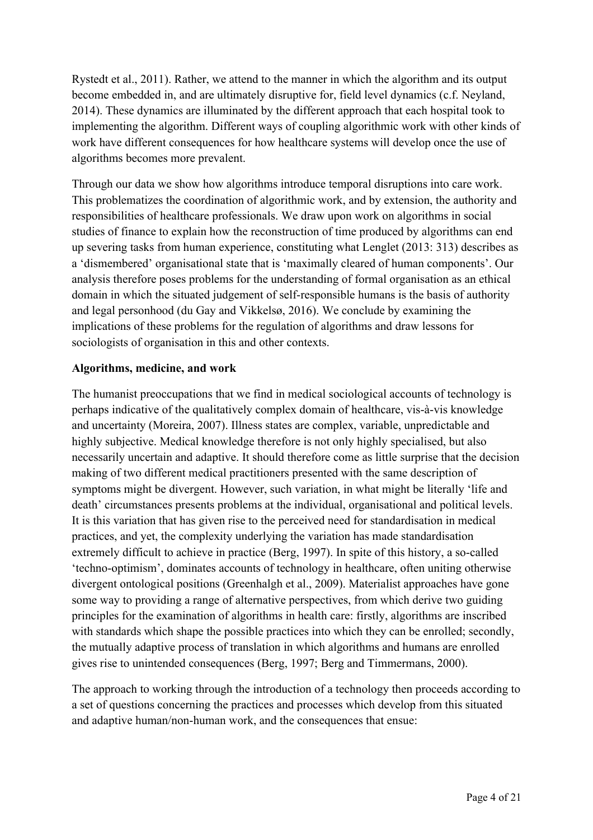Rystedt et al., 2011). Rather, we attend to the manner in which the algorithm and its output become embedded in, and are ultimately disruptive for, field level dynamics (c.f. Neyland, 2014). These dynamics are illuminated by the different approach that each hospital took to implementing the algorithm. Different ways of coupling algorithmic work with other kinds of work have different consequences for how healthcare systems will develop once the use of algorithms becomes more prevalent.

Through our data we show how algorithms introduce temporal disruptions into care work. This problematizes the coordination of algorithmic work, and by extension, the authority and responsibilities of healthcare professionals. We draw upon work on algorithms in social studies of finance to explain how the reconstruction of time produced by algorithms can end up severing tasks from human experience, constituting what Lenglet (2013: 313) describes as a 'dismembered' organisational state that is 'maximally cleared of human components'. Our analysis therefore poses problems for the understanding of formal organisation as an ethical domain in which the situated judgement of self-responsible humans is the basis of authority and legal personhood (du Gay and Vikkelsø, 2016). We conclude by examining the implications of these problems for the regulation of algorithms and draw lessons for sociologists of organisation in this and other contexts.

#### **Algorithms, medicine, and work**

The humanist preoccupations that we find in medical sociological accounts of technology is perhaps indicative of the qualitatively complex domain of healthcare, vis-à-vis knowledge and uncertainty (Moreira, 2007). Illness states are complex, variable, unpredictable and highly subjective. Medical knowledge therefore is not only highly specialised, but also necessarily uncertain and adaptive. It should therefore come as little surprise that the decision making of two different medical practitioners presented with the same description of symptoms might be divergent. However, such variation, in what might be literally 'life and death' circumstances presents problems at the individual, organisational and political levels. It is this variation that has given rise to the perceived need for standardisation in medical practices, and yet, the complexity underlying the variation has made standardisation extremely difficult to achieve in practice (Berg, 1997). In spite of this history, a so-called 'techno-optimism', dominates accounts of technology in healthcare, often uniting otherwise divergent ontological positions (Greenhalgh et al., 2009). Materialist approaches have gone some way to providing a range of alternative perspectives, from which derive two guiding principles for the examination of algorithms in health care: firstly, algorithms are inscribed with standards which shape the possible practices into which they can be enrolled; secondly, the mutually adaptive process of translation in which algorithms and humans are enrolled gives rise to unintended consequences (Berg, 1997; Berg and Timmermans, 2000).

The approach to working through the introduction of a technology then proceeds according to a set of questions concerning the practices and processes which develop from this situated and adaptive human/non-human work, and the consequences that ensue: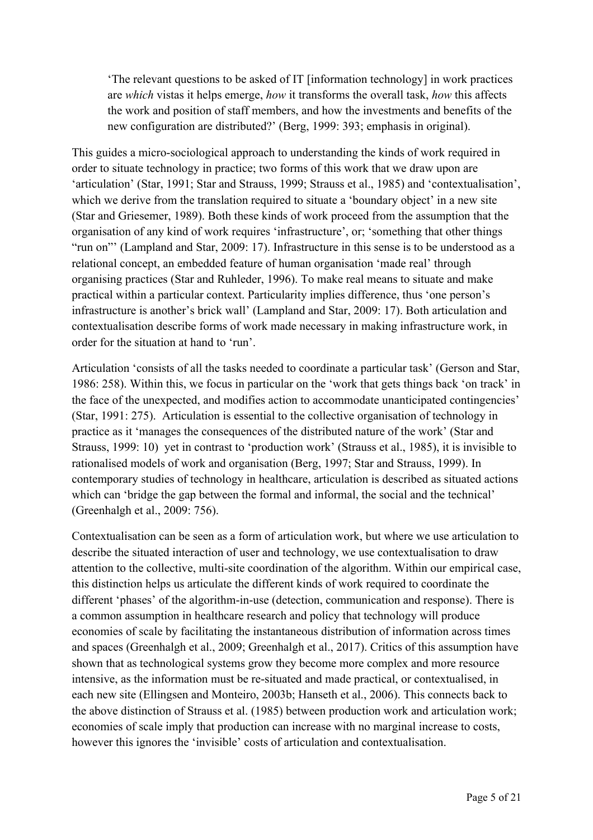'The relevant questions to be asked of IT [information technology] in work practices are *which* vistas it helps emerge, *how* it transforms the overall task, *how* this affects the work and position of staff members, and how the investments and benefits of the new configuration are distributed?' (Berg, 1999: 393; emphasis in original).

This guides a micro-sociological approach to understanding the kinds of work required in order to situate technology in practice; two forms of this work that we draw upon are 'articulation' (Star, 1991; Star and Strauss, 1999; Strauss et al., 1985) and 'contextualisation', which we derive from the translation required to situate a 'boundary object' in a new site (Star and Griesemer, 1989). Both these kinds of work proceed from the assumption that the organisation of any kind of work requires 'infrastructure', or; 'something that other things "run on"' (Lampland and Star, 2009: 17). Infrastructure in this sense is to be understood as a relational concept, an embedded feature of human organisation 'made real' through organising practices (Star and Ruhleder, 1996). To make real means to situate and make practical within a particular context. Particularity implies difference, thus 'one person's infrastructure is another's brick wall' (Lampland and Star, 2009: 17). Both articulation and contextualisation describe forms of work made necessary in making infrastructure work, in order for the situation at hand to 'run'.

Articulation 'consists of all the tasks needed to coordinate a particular task' (Gerson and Star, 1986: 258). Within this, we focus in particular on the 'work that gets things back 'on track' in the face of the unexpected, and modifies action to accommodate unanticipated contingencies' (Star, 1991: 275). Articulation is essential to the collective organisation of technology in practice as it 'manages the consequences of the distributed nature of the work' (Star and Strauss, 1999: 10) yet in contrast to 'production work' (Strauss et al., 1985), it is invisible to rationalised models of work and organisation (Berg, 1997; Star and Strauss, 1999). In contemporary studies of technology in healthcare, articulation is described as situated actions which can 'bridge the gap between the formal and informal, the social and the technical' (Greenhalgh et al., 2009: 756).

Contextualisation can be seen as a form of articulation work, but where we use articulation to describe the situated interaction of user and technology, we use contextualisation to draw attention to the collective, multi-site coordination of the algorithm. Within our empirical case, this distinction helps us articulate the different kinds of work required to coordinate the different 'phases' of the algorithm-in-use (detection, communication and response). There is a common assumption in healthcare research and policy that technology will produce economies of scale by facilitating the instantaneous distribution of information across times and spaces (Greenhalgh et al., 2009; Greenhalgh et al., 2017). Critics of this assumption have shown that as technological systems grow they become more complex and more resource intensive, as the information must be re-situated and made practical, or contextualised, in each new site (Ellingsen and Monteiro, 2003b; Hanseth et al., 2006). This connects back to the above distinction of Strauss et al. (1985) between production work and articulation work; economies of scale imply that production can increase with no marginal increase to costs, however this ignores the 'invisible' costs of articulation and contextualisation.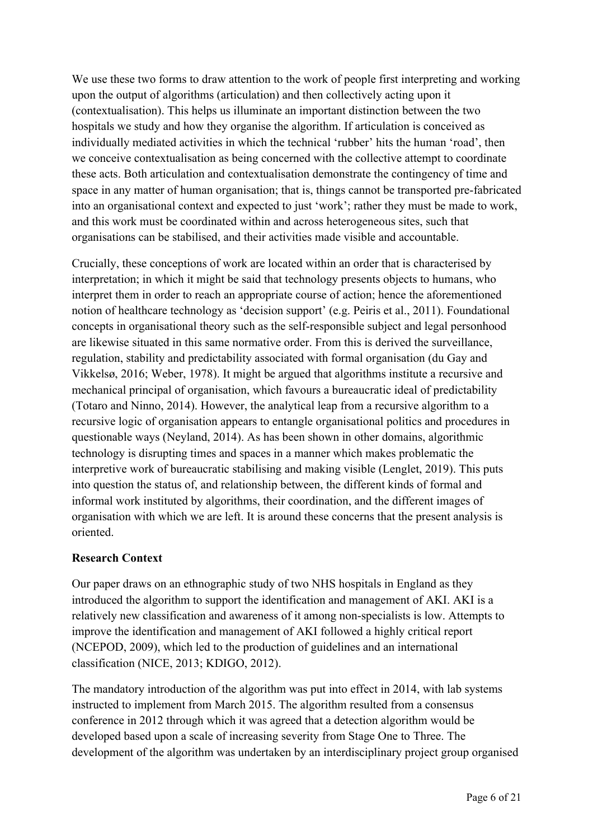We use these two forms to draw attention to the work of people first interpreting and working upon the output of algorithms (articulation) and then collectively acting upon it (contextualisation). This helps us illuminate an important distinction between the two hospitals we study and how they organise the algorithm. If articulation is conceived as individually mediated activities in which the technical 'rubber' hits the human 'road', then we conceive contextualisation as being concerned with the collective attempt to coordinate these acts. Both articulation and contextualisation demonstrate the contingency of time and space in any matter of human organisation; that is, things cannot be transported pre-fabricated into an organisational context and expected to just 'work'; rather they must be made to work, and this work must be coordinated within and across heterogeneous sites, such that organisations can be stabilised, and their activities made visible and accountable.

Crucially, these conceptions of work are located within an order that is characterised by interpretation; in which it might be said that technology presents objects to humans, who interpret them in order to reach an appropriate course of action; hence the aforementioned notion of healthcare technology as 'decision support' (e.g. Peiris et al., 2011). Foundational concepts in organisational theory such as the self-responsible subject and legal personhood are likewise situated in this same normative order. From this is derived the surveillance, regulation, stability and predictability associated with formal organisation (du Gay and Vikkelsø, 2016; Weber, 1978). It might be argued that algorithms institute a recursive and mechanical principal of organisation, which favours a bureaucratic ideal of predictability (Totaro and Ninno, 2014). However, the analytical leap from a recursive algorithm to a recursive logic of organisation appears to entangle organisational politics and procedures in questionable ways (Neyland, 2014). As has been shown in other domains, algorithmic technology is disrupting times and spaces in a manner which makes problematic the interpretive work of bureaucratic stabilising and making visible (Lenglet, 2019). This puts into question the status of, and relationship between, the different kinds of formal and informal work instituted by algorithms, their coordination, and the different images of organisation with which we are left. It is around these concerns that the present analysis is oriented.

#### **Research Context**

Our paper draws on an ethnographic study of two NHS hospitals in England as they introduced the algorithm to support the identification and management of AKI. AKI is a relatively new classification and awareness of it among non-specialists is low. Attempts to improve the identification and management of AKI followed a highly critical report (NCEPOD, 2009), which led to the production of guidelines and an international classification (NICE, 2013; KDIGO, 2012).

The mandatory introduction of the algorithm was put into effect in 2014, with lab systems instructed to implement from March 2015. The algorithm resulted from a consensus conference in 2012 through which it was agreed that a detection algorithm would be developed based upon a scale of increasing severity from Stage One to Three. The development of the algorithm was undertaken by an interdisciplinary project group organised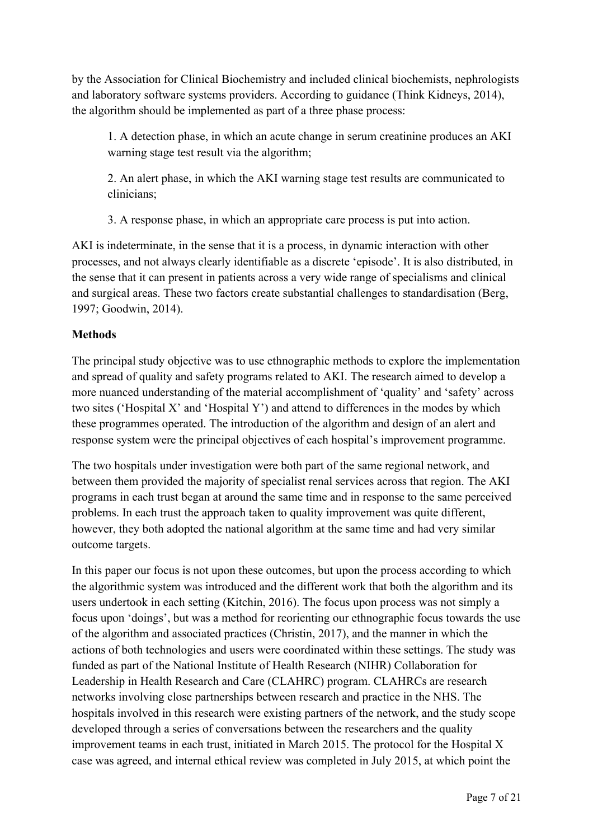by the Association for Clinical Biochemistry and included clinical biochemists, nephrologists and laboratory software systems providers. According to guidance (Think Kidneys, 2014), the algorithm should be implemented as part of a three phase process:

1. A detection phase, in which an acute change in serum creatinine produces an AKI warning stage test result via the algorithm;

2. An alert phase, in which the AKI warning stage test results are communicated to clinicians;

3. A response phase, in which an appropriate care process is put into action.

AKI is indeterminate, in the sense that it is a process, in dynamic interaction with other processes, and not always clearly identifiable as a discrete 'episode'. It is also distributed, in the sense that it can present in patients across a very wide range of specialisms and clinical and surgical areas. These two factors create substantial challenges to standardisation (Berg, 1997; Goodwin, 2014).

#### **Methods**

The principal study objective was to use ethnographic methods to explore the implementation and spread of quality and safety programs related to AKI. The research aimed to develop a more nuanced understanding of the material accomplishment of 'quality' and 'safety' across two sites ('Hospital X' and 'Hospital Y') and attend to differences in the modes by which these programmes operated. The introduction of the algorithm and design of an alert and response system were the principal objectives of each hospital's improvement programme.

The two hospitals under investigation were both part of the same regional network, and between them provided the majority of specialist renal services across that region. The AKI programs in each trust began at around the same time and in response to the same perceived problems. In each trust the approach taken to quality improvement was quite different, however, they both adopted the national algorithm at the same time and had very similar outcome targets.

In this paper our focus is not upon these outcomes, but upon the process according to which the algorithmic system was introduced and the different work that both the algorithm and its users undertook in each setting (Kitchin, 2016). The focus upon process was not simply a focus upon 'doings', but was a method for reorienting our ethnographic focus towards the use of the algorithm and associated practices (Christin, 2017), and the manner in which the actions of both technologies and users were coordinated within these settings. The study was funded as part of the National Institute of Health Research (NIHR) Collaboration for Leadership in Health Research and Care (CLAHRC) program. CLAHRCs are research networks involving close partnerships between research and practice in the NHS. The hospitals involved in this research were existing partners of the network, and the study scope developed through a series of conversations between the researchers and the quality improvement teams in each trust, initiated in March 2015. The protocol for the Hospital X case was agreed, and internal ethical review was completed in July 2015, at which point the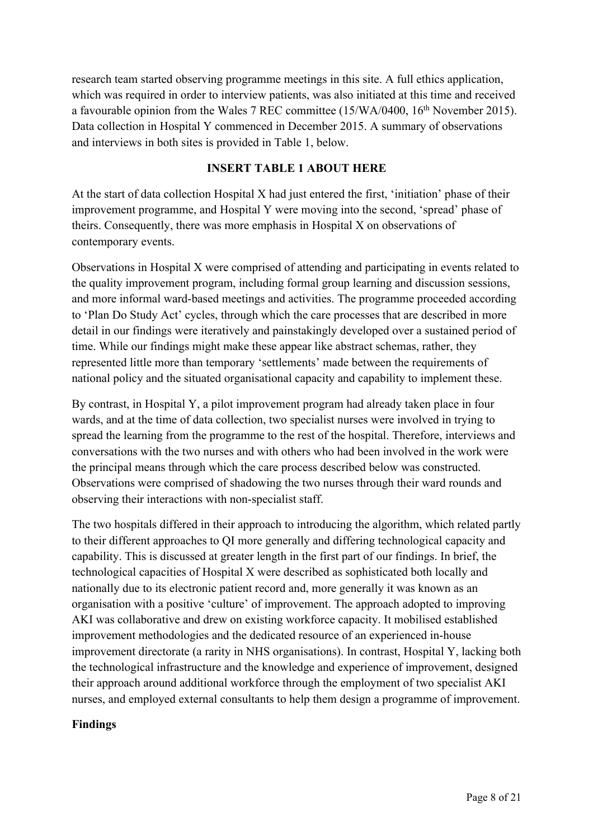research team started observing programme meetings in this site. A full ethics application, which was required in order to interview patients, was also initiated at this time and received a favourable opinion from the Wales 7 REC committee (15/WA/0400, 16<sup>th</sup> November 2015). Data collection in Hospital Y commenced in December 2015. A summary of observations and interviews in both sites is provided in Table 1, below.

#### **INSERT TABLE 1 ABOUT HERE**

At the start of data collection Hospital X had just entered the first, 'initiation' phase of their improvement programme, and Hospital Y were moving into the second, 'spread' phase of theirs. Consequently, there was more emphasis in Hospital X on observations of contemporary events.

Observations in Hospital X were comprised of attending and participating in events related to the quality improvement program, including formal group learning and discussion sessions, and more informal ward-based meetings and activities. The programme proceeded according to 'Plan Do Study Act' cycles, through which the care processes that are described in more detail in our findings were iteratively and painstakingly developed over a sustained period of time. While our findings might make these appear like abstract schemas, rather, they represented little more than temporary 'settlements' made between the requirements of national policy and the situated organisational capacity and capability to implement these.

By contrast, in Hospital Y, a pilot improvement program had already taken place in four wards, and at the time of data collection, two specialist nurses were involved in trying to spread the learning from the programme to the rest of the hospital. Therefore, interviews and conversations with the two nurses and with others who had been involved in the work were the principal means through which the care process described below was constructed. Observations were comprised of shadowing the two nurses through their ward rounds and observing their interactions with non-specialist staff.

The two hospitals differed in their approach to introducing the algorithm, which related partly to their different approaches to QI more generally and differing technological capacity and capability. This is discussed at greater length in the first part of our findings. In brief, the technological capacities of Hospital X were described as sophisticated both locally and nationally due to its electronic patient record and, more generally it was known as an organisation with a positive 'culture' of improvement. The approach adopted to improving AKI was collaborative and drew on existing workforce capacity. It mobilised established improvement methodologies and the dedicated resource of an experienced in-house improvement directorate (a rarity in NHS organisations). In contrast, Hospital Y, lacking both the technological infrastructure and the knowledge and experience of improvement, designed their approach around additional workforce through the employment of two specialist AKI nurses, and employed external consultants to help them design a programme of improvement.

#### **Findings**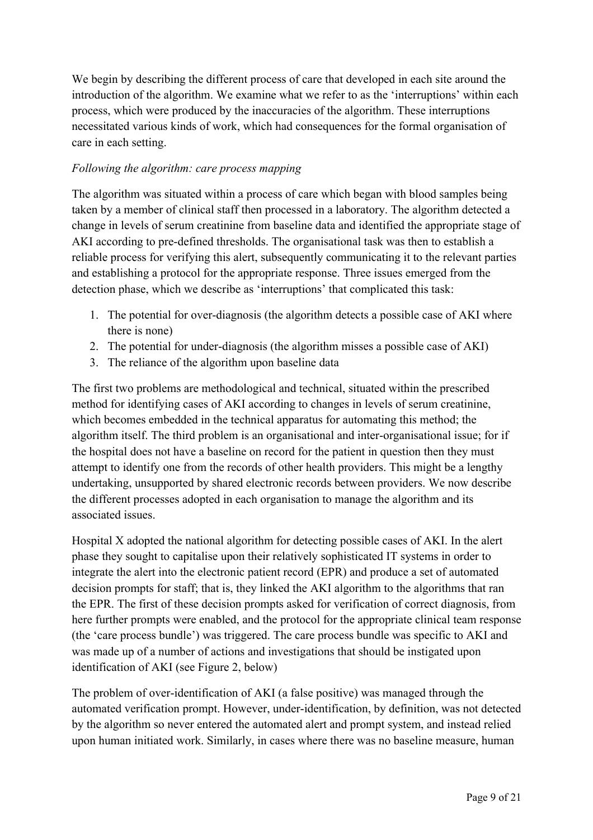We begin by describing the different process of care that developed in each site around the introduction of the algorithm. We examine what we refer to as the 'interruptions' within each process, which were produced by the inaccuracies of the algorithm. These interruptions necessitated various kinds of work, which had consequences for the formal organisation of care in each setting.

#### *Following the algorithm: care process mapping*

The algorithm was situated within a process of care which began with blood samples being taken by a member of clinical staff then processed in a laboratory. The algorithm detected a change in levels of serum creatinine from baseline data and identified the appropriate stage of AKI according to pre-defined thresholds. The organisational task was then to establish a reliable process for verifying this alert, subsequently communicating it to the relevant parties and establishing a protocol for the appropriate response. Three issues emerged from the detection phase, which we describe as 'interruptions' that complicated this task:

- 1. The potential for over-diagnosis (the algorithm detects a possible case of AKI where there is none)
- 2. The potential for under-diagnosis (the algorithm misses a possible case of AKI)
- 3. The reliance of the algorithm upon baseline data

The first two problems are methodological and technical, situated within the prescribed method for identifying cases of AKI according to changes in levels of serum creatinine, which becomes embedded in the technical apparatus for automating this method; the algorithm itself. The third problem is an organisational and inter-organisational issue; for if the hospital does not have a baseline on record for the patient in question then they must attempt to identify one from the records of other health providers. This might be a lengthy undertaking, unsupported by shared electronic records between providers. We now describe the different processes adopted in each organisation to manage the algorithm and its associated issues.

Hospital X adopted the national algorithm for detecting possible cases of AKI. In the alert phase they sought to capitalise upon their relatively sophisticated IT systems in order to integrate the alert into the electronic patient record (EPR) and produce a set of automated decision prompts for staff; that is, they linked the AKI algorithm to the algorithms that ran the EPR. The first of these decision prompts asked for verification of correct diagnosis, from here further prompts were enabled, and the protocol for the appropriate clinical team response (the 'care process bundle') was triggered. The care process bundle was specific to AKI and was made up of a number of actions and investigations that should be instigated upon identification of AKI (see Figure 2, below)

The problem of over-identification of AKI (a false positive) was managed through the automated verification prompt. However, under-identification, by definition, was not detected by the algorithm so never entered the automated alert and prompt system, and instead relied upon human initiated work. Similarly, in cases where there was no baseline measure, human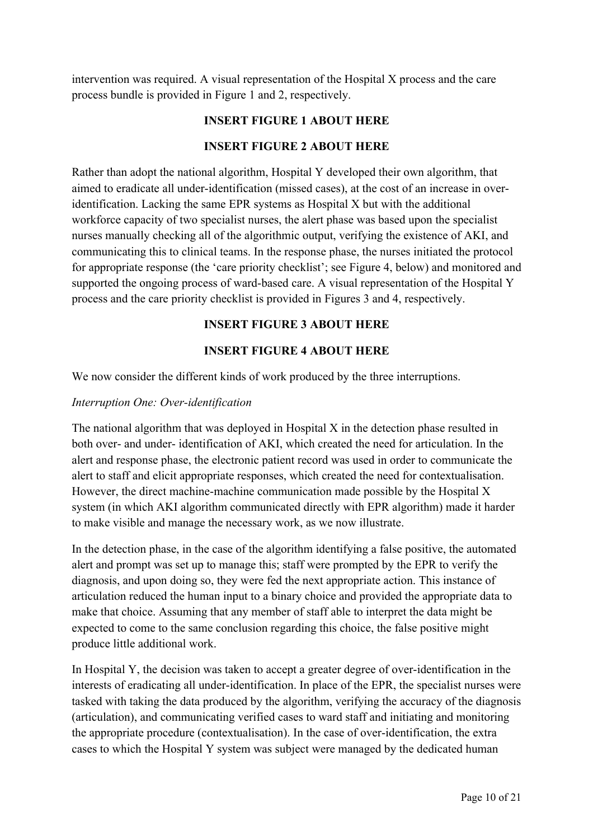intervention was required. A visual representation of the Hospital X process and the care process bundle is provided in Figure 1 and 2, respectively.

#### **INSERT FIGURE 1 ABOUT HERE**

#### **INSERT FIGURE 2 ABOUT HERE**

Rather than adopt the national algorithm, Hospital Y developed their own algorithm, that aimed to eradicate all under-identification (missed cases), at the cost of an increase in overidentification. Lacking the same EPR systems as Hospital X but with the additional workforce capacity of two specialist nurses, the alert phase was based upon the specialist nurses manually checking all of the algorithmic output, verifying the existence of AKI, and communicating this to clinical teams. In the response phase, the nurses initiated the protocol for appropriate response (the 'care priority checklist'; see Figure 4, below) and monitored and supported the ongoing process of ward-based care. A visual representation of the Hospital Y process and the care priority checklist is provided in Figures 3 and 4, respectively.

#### **INSERT FIGURE 3 ABOUT HERE**

#### **INSERT FIGURE 4 ABOUT HERE**

We now consider the different kinds of work produced by the three interruptions.

#### *Interruption One: Over-identification*

The national algorithm that was deployed in Hospital X in the detection phase resulted in both over- and under- identification of AKI, which created the need for articulation. In the alert and response phase, the electronic patient record was used in order to communicate the alert to staff and elicit appropriate responses, which created the need for contextualisation. However, the direct machine-machine communication made possible by the Hospital X system (in which AKI algorithm communicated directly with EPR algorithm) made it harder to make visible and manage the necessary work, as we now illustrate.

In the detection phase, in the case of the algorithm identifying a false positive, the automated alert and prompt was set up to manage this; staff were prompted by the EPR to verify the diagnosis, and upon doing so, they were fed the next appropriate action. This instance of articulation reduced the human input to a binary choice and provided the appropriate data to make that choice. Assuming that any member of staff able to interpret the data might be expected to come to the same conclusion regarding this choice, the false positive might produce little additional work.

In Hospital Y, the decision was taken to accept a greater degree of over-identification in the interests of eradicating all under-identification. In place of the EPR, the specialist nurses were tasked with taking the data produced by the algorithm, verifying the accuracy of the diagnosis (articulation), and communicating verified cases to ward staff and initiating and monitoring the appropriate procedure (contextualisation). In the case of over-identification, the extra cases to which the Hospital Y system was subject were managed by the dedicated human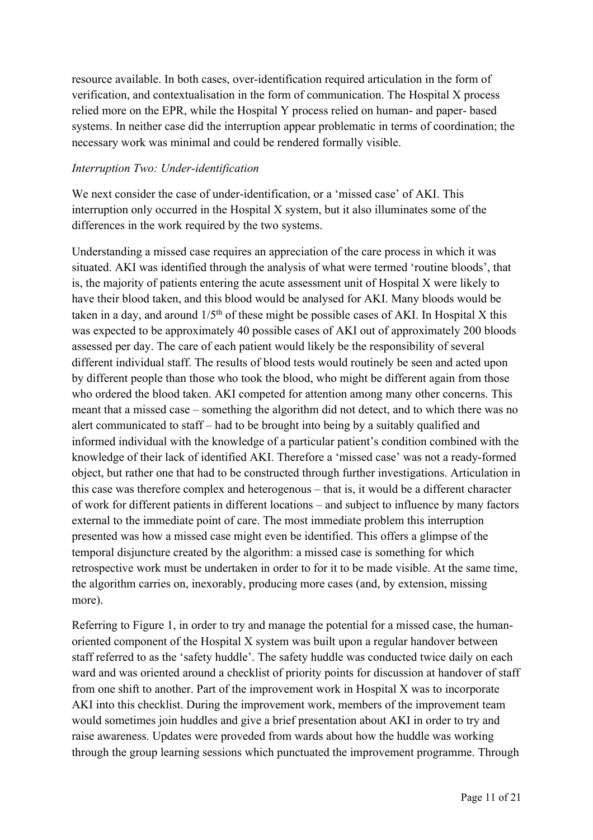resource available. In both cases, over-identification required articulation in the form of verification, and contextualisation in the form of communication. The Hospital X process relied more on the EPR, while the Hospital Y process relied on human- and paper- based systems. In neither case did the interruption appear problematic in terms of coordination; the necessary work was minimal and could be rendered formally visible.

#### *Interruption Two: Under-identification*

We next consider the case of under-identification, or a 'missed case' of AKI. This interruption only occurred in the Hospital X system, but it also illuminates some of the differences in the work required by the two systems.

Understanding a missed case requires an appreciation of the care process in which it was situated. AKI was identified through the analysis of what were termed 'routine bloods', that is, the majority of patients entering the acute assessment unit of Hospital X were likely to have their blood taken, and this blood would be analysed for AKI. Many bloods would be taken in a day, and around  $1/5<sup>th</sup>$  of these might be possible cases of AKI. In Hospital X this was expected to be approximately 40 possible cases of AKI out of approximately 200 bloods assessed per day. The care of each patient would likely be the responsibility of several different individual staff. The results of blood tests would routinely be seen and acted upon by different people than those who took the blood, who might be different again from those who ordered the blood taken. AKI competed for attention among many other concerns. This meant that a missed case – something the algorithm did not detect, and to which there was no alert communicated to staff – had to be brought into being by a suitably qualified and informed individual with the knowledge of a particular patient's condition combined with the knowledge of their lack of identified AKI. Therefore a 'missed case' was not a ready-formed object, but rather one that had to be constructed through further investigations. Articulation in this case was therefore complex and heterogenous – that is, it would be a different character of work for different patients in different locations – and subject to influence by many factors external to the immediate point of care. The most immediate problem this interruption presented was how a missed case might even be identified. This offers a glimpse of the temporal disjuncture created by the algorithm: a missed case is something for which retrospective work must be undertaken in order to for it to be made visible. At the same time, the algorithm carries on, inexorably, producing more cases (and, by extension, missing more).

Referring to Figure 1, in order to try and manage the potential for a missed case, the humanoriented component of the Hospital X system was built upon a regular handover between staff referred to as the 'safety huddle'. The safety huddle was conducted twice daily on each ward and was oriented around a checklist of priority points for discussion at handover of staff from one shift to another. Part of the improvement work in Hospital X was to incorporate AKI into this checklist. During the improvement work, members of the improvement team would sometimes join huddles and give a brief presentation about AKI in order to try and raise awareness. Updates were proveded from wards about how the huddle was working through the group learning sessions which punctuated the improvement programme. Through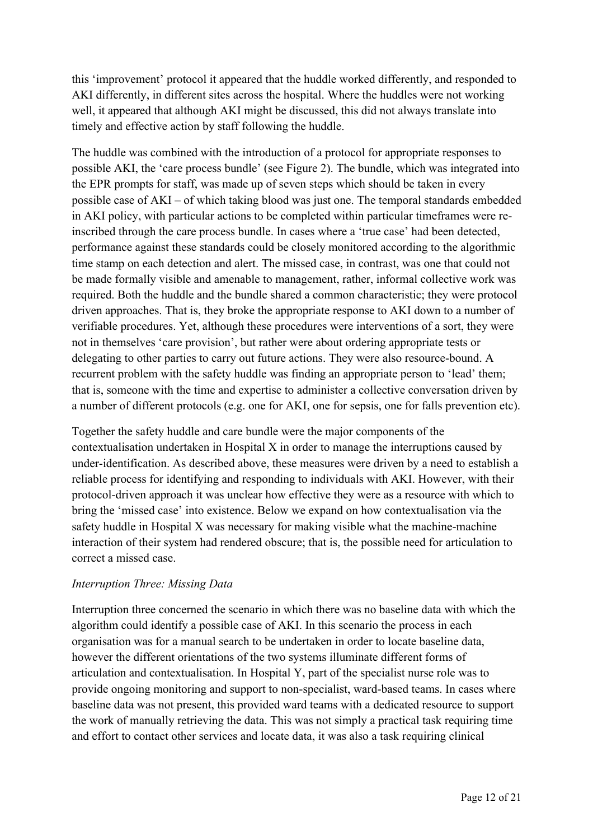this 'improvement' protocol it appeared that the huddle worked differently, and responded to AKI differently, in different sites across the hospital. Where the huddles were not working well, it appeared that although AKI might be discussed, this did not always translate into timely and effective action by staff following the huddle.

The huddle was combined with the introduction of a protocol for appropriate responses to possible AKI, the 'care process bundle' (see Figure 2). The bundle, which was integrated into the EPR prompts for staff, was made up of seven steps which should be taken in every possible case of AKI – of which taking blood was just one. The temporal standards embedded in AKI policy, with particular actions to be completed within particular timeframes were reinscribed through the care process bundle. In cases where a 'true case' had been detected, performance against these standards could be closely monitored according to the algorithmic time stamp on each detection and alert. The missed case, in contrast, was one that could not be made formally visible and amenable to management, rather, informal collective work was required. Both the huddle and the bundle shared a common characteristic; they were protocol driven approaches. That is, they broke the appropriate response to AKI down to a number of verifiable procedures. Yet, although these procedures were interventions of a sort, they were not in themselves 'care provision', but rather were about ordering appropriate tests or delegating to other parties to carry out future actions. They were also resource-bound. A recurrent problem with the safety huddle was finding an appropriate person to 'lead' them; that is, someone with the time and expertise to administer a collective conversation driven by a number of different protocols (e.g. one for AKI, one for sepsis, one for falls prevention etc).

Together the safety huddle and care bundle were the major components of the contextualisation undertaken in Hospital X in order to manage the interruptions caused by under-identification. As described above, these measures were driven by a need to establish a reliable process for identifying and responding to individuals with AKI. However, with their protocol-driven approach it was unclear how effective they were as a resource with which to bring the 'missed case' into existence. Below we expand on how contextualisation via the safety huddle in Hospital X was necessary for making visible what the machine-machine interaction of their system had rendered obscure; that is, the possible need for articulation to correct a missed case.

#### *Interruption Three: Missing Data*

Interruption three concerned the scenario in which there was no baseline data with which the algorithm could identify a possible case of AKI. In this scenario the process in each organisation was for a manual search to be undertaken in order to locate baseline data, however the different orientations of the two systems illuminate different forms of articulation and contextualisation. In Hospital Y, part of the specialist nurse role was to provide ongoing monitoring and support to non-specialist, ward-based teams. In cases where baseline data was not present, this provided ward teams with a dedicated resource to support the work of manually retrieving the data. This was not simply a practical task requiring time and effort to contact other services and locate data, it was also a task requiring clinical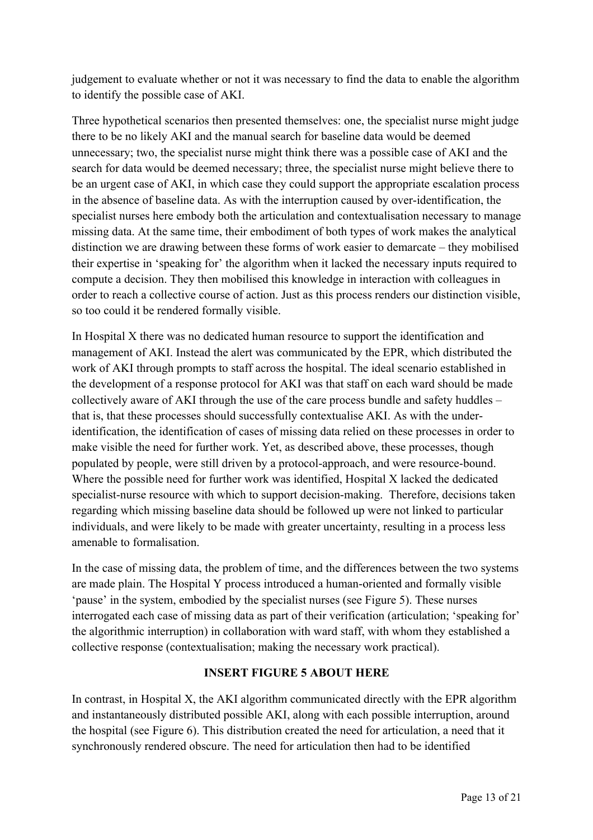judgement to evaluate whether or not it was necessary to find the data to enable the algorithm to identify the possible case of AKI.

Three hypothetical scenarios then presented themselves: one, the specialist nurse might judge there to be no likely AKI and the manual search for baseline data would be deemed unnecessary; two, the specialist nurse might think there was a possible case of AKI and the search for data would be deemed necessary; three, the specialist nurse might believe there to be an urgent case of AKI, in which case they could support the appropriate escalation process in the absence of baseline data. As with the interruption caused by over-identification, the specialist nurses here embody both the articulation and contextualisation necessary to manage missing data. At the same time, their embodiment of both types of work makes the analytical distinction we are drawing between these forms of work easier to demarcate – they mobilised their expertise in 'speaking for' the algorithm when it lacked the necessary inputs required to compute a decision. They then mobilised this knowledge in interaction with colleagues in order to reach a collective course of action. Just as this process renders our distinction visible, so too could it be rendered formally visible.

In Hospital X there was no dedicated human resource to support the identification and management of AKI. Instead the alert was communicated by the EPR, which distributed the work of AKI through prompts to staff across the hospital. The ideal scenario established in the development of a response protocol for AKI was that staff on each ward should be made collectively aware of AKI through the use of the care process bundle and safety huddles – that is, that these processes should successfully contextualise AKI. As with the underidentification, the identification of cases of missing data relied on these processes in order to make visible the need for further work. Yet, as described above, these processes, though populated by people, were still driven by a protocol-approach, and were resource-bound. Where the possible need for further work was identified, Hospital X lacked the dedicated specialist-nurse resource with which to support decision-making. Therefore, decisions taken regarding which missing baseline data should be followed up were not linked to particular individuals, and were likely to be made with greater uncertainty, resulting in a process less amenable to formalisation.

In the case of missing data, the problem of time, and the differences between the two systems are made plain. The Hospital Y process introduced a human-oriented and formally visible 'pause' in the system, embodied by the specialist nurses (see Figure 5). These nurses interrogated each case of missing data as part of their verification (articulation; 'speaking for' the algorithmic interruption) in collaboration with ward staff, with whom they established a collective response (contextualisation; making the necessary work practical).

#### **INSERT FIGURE 5 ABOUT HERE**

In contrast, in Hospital X, the AKI algorithm communicated directly with the EPR algorithm and instantaneously distributed possible AKI, along with each possible interruption, around the hospital (see Figure 6). This distribution created the need for articulation, a need that it synchronously rendered obscure. The need for articulation then had to be identified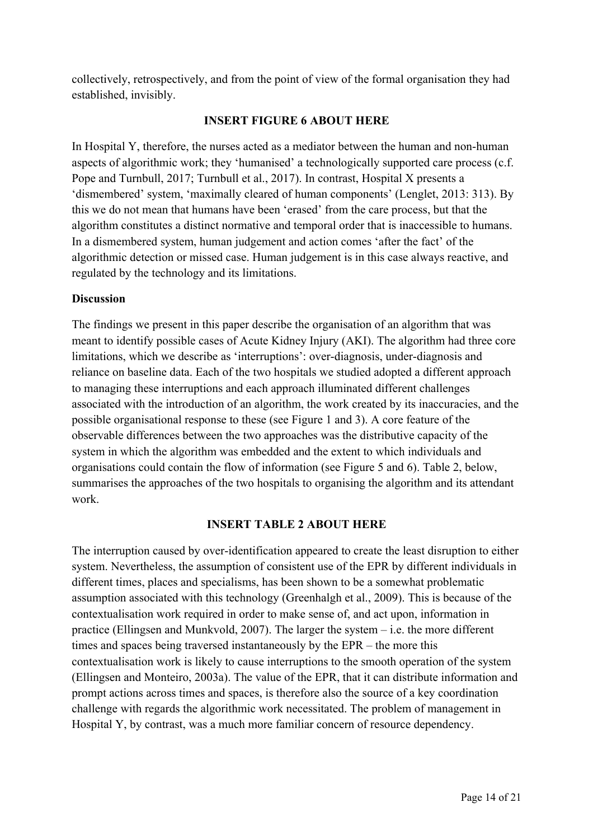collectively, retrospectively, and from the point of view of the formal organisation they had established, invisibly.

#### **INSERT FIGURE 6 ABOUT HERE**

In Hospital Y, therefore, the nurses acted as a mediator between the human and non-human aspects of algorithmic work; they 'humanised' a technologically supported care process (c.f. Pope and Turnbull, 2017; Turnbull et al., 2017). In contrast, Hospital X presents a 'dismembered' system, 'maximally cleared of human components' (Lenglet, 2013: 313). By this we do not mean that humans have been 'erased' from the care process, but that the algorithm constitutes a distinct normative and temporal order that is inaccessible to humans. In a dismembered system, human judgement and action comes 'after the fact' of the algorithmic detection or missed case. Human judgement is in this case always reactive, and regulated by the technology and its limitations.

#### **Discussion**

The findings we present in this paper describe the organisation of an algorithm that was meant to identify possible cases of Acute Kidney Injury (AKI). The algorithm had three core limitations, which we describe as 'interruptions': over-diagnosis, under-diagnosis and reliance on baseline data. Each of the two hospitals we studied adopted a different approach to managing these interruptions and each approach illuminated different challenges associated with the introduction of an algorithm, the work created by its inaccuracies, and the possible organisational response to these (see Figure 1 and 3). A core feature of the observable differences between the two approaches was the distributive capacity of the system in which the algorithm was embedded and the extent to which individuals and organisations could contain the flow of information (see Figure 5 and 6). Table 2, below, summarises the approaches of the two hospitals to organising the algorithm and its attendant work.

#### **INSERT TABLE 2 ABOUT HERE**

The interruption caused by over-identification appeared to create the least disruption to either system. Nevertheless, the assumption of consistent use of the EPR by different individuals in different times, places and specialisms, has been shown to be a somewhat problematic assumption associated with this technology (Greenhalgh et al., 2009). This is because of the contextualisation work required in order to make sense of, and act upon, information in practice (Ellingsen and Munkvold, 2007). The larger the system – i.e. the more different times and spaces being traversed instantaneously by the EPR – the more this contextualisation work is likely to cause interruptions to the smooth operation of the system (Ellingsen and Monteiro, 2003a). The value of the EPR, that it can distribute information and prompt actions across times and spaces, is therefore also the source of a key coordination challenge with regards the algorithmic work necessitated. The problem of management in Hospital Y, by contrast, was a much more familiar concern of resource dependency.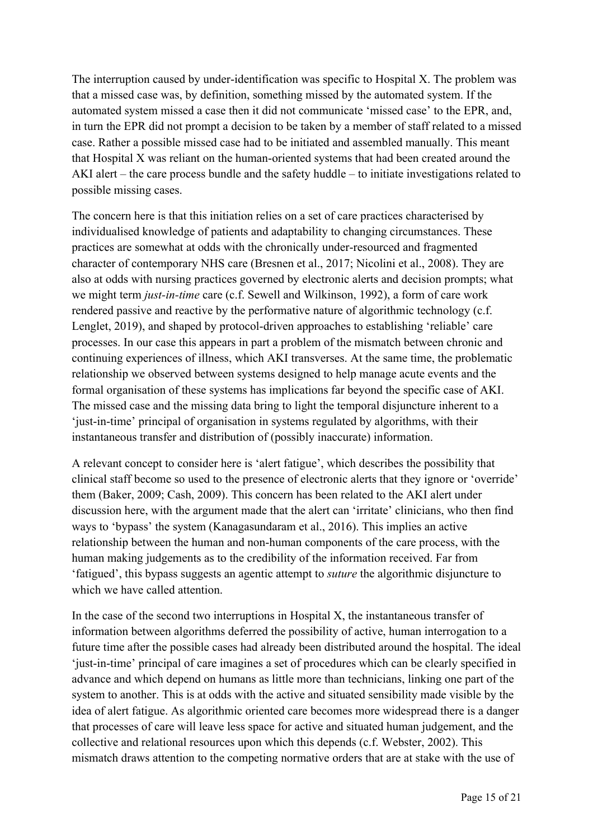The interruption caused by under-identification was specific to Hospital X. The problem was that a missed case was, by definition, something missed by the automated system. If the automated system missed a case then it did not communicate 'missed case' to the EPR, and, in turn the EPR did not prompt a decision to be taken by a member of staff related to a missed case. Rather a possible missed case had to be initiated and assembled manually. This meant that Hospital X was reliant on the human-oriented systems that had been created around the AKI alert – the care process bundle and the safety huddle – to initiate investigations related to possible missing cases.

The concern here is that this initiation relies on a set of care practices characterised by individualised knowledge of patients and adaptability to changing circumstances. These practices are somewhat at odds with the chronically under-resourced and fragmented character of contemporary NHS care (Bresnen et al., 2017; Nicolini et al., 2008). They are also at odds with nursing practices governed by electronic alerts and decision prompts; what we might term *just-in-time* care (c.f. Sewell and Wilkinson, 1992), a form of care work rendered passive and reactive by the performative nature of algorithmic technology (c.f. Lenglet, 2019), and shaped by protocol-driven approaches to establishing 'reliable' care processes. In our case this appears in part a problem of the mismatch between chronic and continuing experiences of illness, which AKI transverses. At the same time, the problematic relationship we observed between systems designed to help manage acute events and the formal organisation of these systems has implications far beyond the specific case of AKI. The missed case and the missing data bring to light the temporal disjuncture inherent to a 'just-in-time' principal of organisation in systems regulated by algorithms, with their instantaneous transfer and distribution of (possibly inaccurate) information.

A relevant concept to consider here is 'alert fatigue', which describes the possibility that clinical staff become so used to the presence of electronic alerts that they ignore or 'override' them (Baker, 2009; Cash, 2009). This concern has been related to the AKI alert under discussion here, with the argument made that the alert can 'irritate' clinicians, who then find ways to 'bypass' the system (Kanagasundaram et al., 2016). This implies an active relationship between the human and non-human components of the care process, with the human making judgements as to the credibility of the information received. Far from 'fatigued', this bypass suggests an agentic attempt to *suture* the algorithmic disjuncture to which we have called attention.

In the case of the second two interruptions in Hospital X, the instantaneous transfer of information between algorithms deferred the possibility of active, human interrogation to a future time after the possible cases had already been distributed around the hospital. The ideal 'just-in-time' principal of care imagines a set of procedures which can be clearly specified in advance and which depend on humans as little more than technicians, linking one part of the system to another. This is at odds with the active and situated sensibility made visible by the idea of alert fatigue. As algorithmic oriented care becomes more widespread there is a danger that processes of care will leave less space for active and situated human judgement, and the collective and relational resources upon which this depends (c.f. Webster, 2002). This mismatch draws attention to the competing normative orders that are at stake with the use of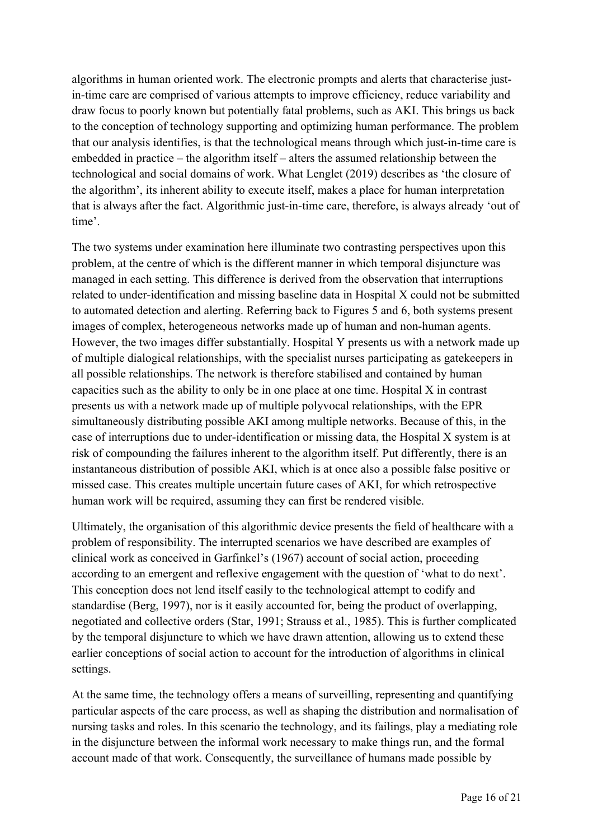algorithms in human oriented work. The electronic prompts and alerts that characterise justin-time care are comprised of various attempts to improve efficiency, reduce variability and draw focus to poorly known but potentially fatal problems, such as AKI. This brings us back to the conception of technology supporting and optimizing human performance. The problem that our analysis identifies, is that the technological means through which just-in-time care is embedded in practice – the algorithm itself – alters the assumed relationship between the technological and social domains of work. What Lenglet (2019) describes as 'the closure of the algorithm', its inherent ability to execute itself, makes a place for human interpretation that is always after the fact. Algorithmic just-in-time care, therefore, is always already 'out of time'.

The two systems under examination here illuminate two contrasting perspectives upon this problem, at the centre of which is the different manner in which temporal disjuncture was managed in each setting. This difference is derived from the observation that interruptions related to under-identification and missing baseline data in Hospital X could not be submitted to automated detection and alerting. Referring back to Figures 5 and 6, both systems present images of complex, heterogeneous networks made up of human and non-human agents. However, the two images differ substantially. Hospital Y presents us with a network made up of multiple dialogical relationships, with the specialist nurses participating as gatekeepers in all possible relationships. The network is therefore stabilised and contained by human capacities such as the ability to only be in one place at one time. Hospital X in contrast presents us with a network made up of multiple polyvocal relationships, with the EPR simultaneously distributing possible AKI among multiple networks. Because of this, in the case of interruptions due to under-identification or missing data, the Hospital X system is at risk of compounding the failures inherent to the algorithm itself. Put differently, there is an instantaneous distribution of possible AKI, which is at once also a possible false positive or missed case. This creates multiple uncertain future cases of AKI, for which retrospective human work will be required, assuming they can first be rendered visible.

Ultimately, the organisation of this algorithmic device presents the field of healthcare with a problem of responsibility. The interrupted scenarios we have described are examples of clinical work as conceived in Garfinkel's (1967) account of social action, proceeding according to an emergent and reflexive engagement with the question of 'what to do next'. This conception does not lend itself easily to the technological attempt to codify and standardise (Berg, 1997), nor is it easily accounted for, being the product of overlapping, negotiated and collective orders (Star, 1991; Strauss et al., 1985). This is further complicated by the temporal disjuncture to which we have drawn attention, allowing us to extend these earlier conceptions of social action to account for the introduction of algorithms in clinical settings.

At the same time, the technology offers a means of surveilling, representing and quantifying particular aspects of the care process, as well as shaping the distribution and normalisation of nursing tasks and roles. In this scenario the technology, and its failings, play a mediating role in the disjuncture between the informal work necessary to make things run, and the formal account made of that work. Consequently, the surveillance of humans made possible by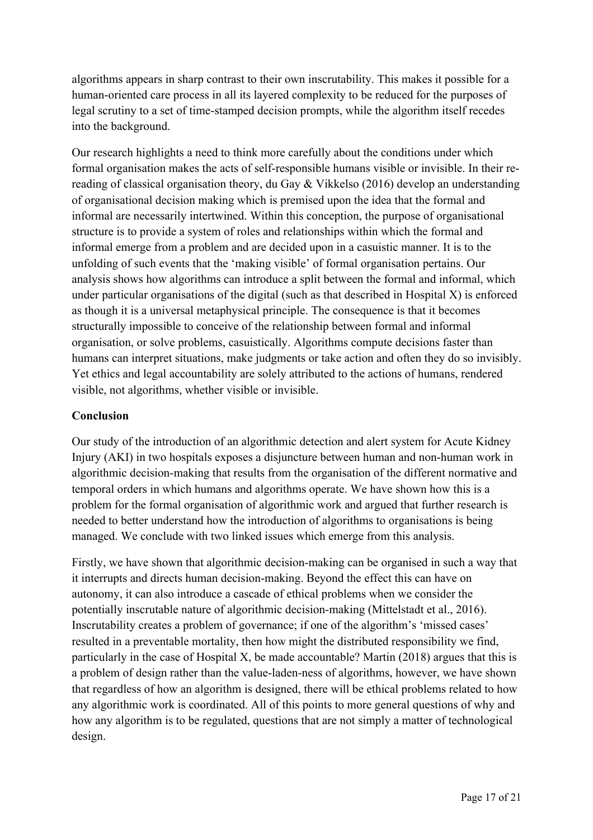algorithms appears in sharp contrast to their own inscrutability. This makes it possible for a human-oriented care process in all its layered complexity to be reduced for the purposes of legal scrutiny to a set of time-stamped decision prompts, while the algorithm itself recedes into the background.

Our research highlights a need to think more carefully about the conditions under which formal organisation makes the acts of self-responsible humans visible or invisible. In their rereading of classical organisation theory, du Gay & Vikkelso (2016) develop an understanding of organisational decision making which is premised upon the idea that the formal and informal are necessarily intertwined. Within this conception, the purpose of organisational structure is to provide a system of roles and relationships within which the formal and informal emerge from a problem and are decided upon in a casuistic manner. It is to the unfolding of such events that the 'making visible' of formal organisation pertains. Our analysis shows how algorithms can introduce a split between the formal and informal, which under particular organisations of the digital (such as that described in Hospital X) is enforced as though it is a universal metaphysical principle. The consequence is that it becomes structurally impossible to conceive of the relationship between formal and informal organisation, or solve problems, casuistically. Algorithms compute decisions faster than humans can interpret situations, make judgments or take action and often they do so invisibly. Yet ethics and legal accountability are solely attributed to the actions of humans, rendered visible, not algorithms, whether visible or invisible.

#### **Conclusion**

Our study of the introduction of an algorithmic detection and alert system for Acute Kidney Injury (AKI) in two hospitals exposes a disjuncture between human and non-human work in algorithmic decision-making that results from the organisation of the different normative and temporal orders in which humans and algorithms operate. We have shown how this is a problem for the formal organisation of algorithmic work and argued that further research is needed to better understand how the introduction of algorithms to organisations is being managed. We conclude with two linked issues which emerge from this analysis.

Firstly, we have shown that algorithmic decision-making can be organised in such a way that it interrupts and directs human decision-making. Beyond the effect this can have on autonomy, it can also introduce a cascade of ethical problems when we consider the potentially inscrutable nature of algorithmic decision-making (Mittelstadt et al., 2016). Inscrutability creates a problem of governance; if one of the algorithm's 'missed cases' resulted in a preventable mortality, then how might the distributed responsibility we find, particularly in the case of Hospital X, be made accountable? Martin (2018) argues that this is a problem of design rather than the value-laden-ness of algorithms, however, we have shown that regardless of how an algorithm is designed, there will be ethical problems related to how any algorithmic work is coordinated. All of this points to more general questions of why and how any algorithm is to be regulated, questions that are not simply a matter of technological design.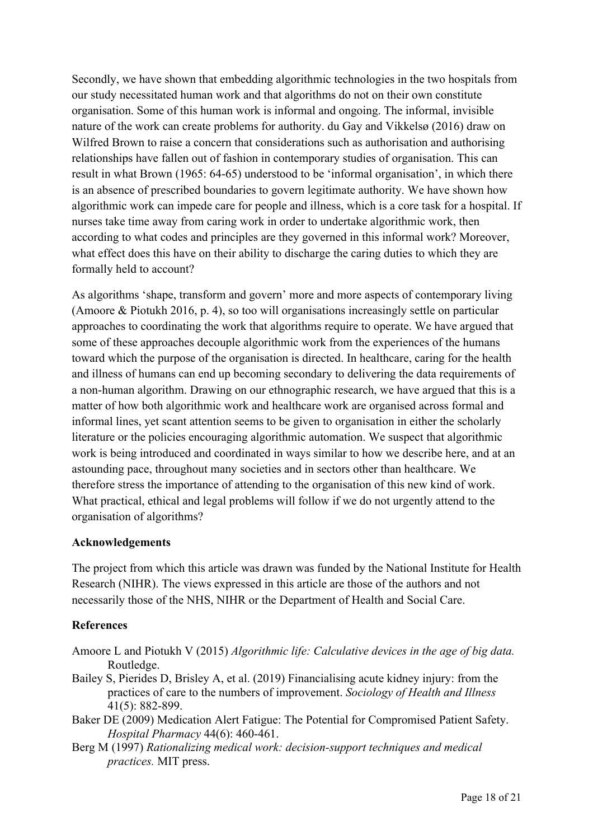Secondly, we have shown that embedding algorithmic technologies in the two hospitals from our study necessitated human work and that algorithms do not on their own constitute organisation. Some of this human work is informal and ongoing. The informal, invisible nature of the work can create problems for authority. du Gay and Vikkelsø (2016) draw on Wilfred Brown to raise a concern that considerations such as authorisation and authorising relationships have fallen out of fashion in contemporary studies of organisation. This can result in what Brown (1965: 64-65) understood to be 'informal organisation', in which there is an absence of prescribed boundaries to govern legitimate authority. We have shown how algorithmic work can impede care for people and illness, which is a core task for a hospital. If nurses take time away from caring work in order to undertake algorithmic work, then according to what codes and principles are they governed in this informal work? Moreover, what effect does this have on their ability to discharge the caring duties to which they are formally held to account?

As algorithms 'shape, transform and govern' more and more aspects of contemporary living (Amoore & Piotukh 2016, p. 4), so too will organisations increasingly settle on particular approaches to coordinating the work that algorithms require to operate. We have argued that some of these approaches decouple algorithmic work from the experiences of the humans toward which the purpose of the organisation is directed. In healthcare, caring for the health and illness of humans can end up becoming secondary to delivering the data requirements of a non-human algorithm. Drawing on our ethnographic research, we have argued that this is a matter of how both algorithmic work and healthcare work are organised across formal and informal lines, yet scant attention seems to be given to organisation in either the scholarly literature or the policies encouraging algorithmic automation. We suspect that algorithmic work is being introduced and coordinated in ways similar to how we describe here, and at an astounding pace, throughout many societies and in sectors other than healthcare. We therefore stress the importance of attending to the organisation of this new kind of work. What practical, ethical and legal problems will follow if we do not urgently attend to the organisation of algorithms?

#### **Acknowledgements**

The project from which this article was drawn was funded by the National Institute for Health Research (NIHR). The views expressed in this article are those of the authors and not necessarily those of the NHS, NIHR or the Department of Health and Social Care.

#### **References**

- Amoore L and Piotukh V (2015) *Algorithmic life: Calculative devices in the age of big data.* Routledge.
- Bailey S, Pierides D, Brisley A, et al. (2019) Financialising acute kidney injury: from the practices of care to the numbers of improvement. *Sociology of Health and Illness* 41(5): 882-899.
- Baker DE (2009) Medication Alert Fatigue: The Potential for Compromised Patient Safety. *Hospital Pharmacy* 44(6): 460-461.
- Berg M (1997) *Rationalizing medical work: decision-support techniques and medical practices.* MIT press.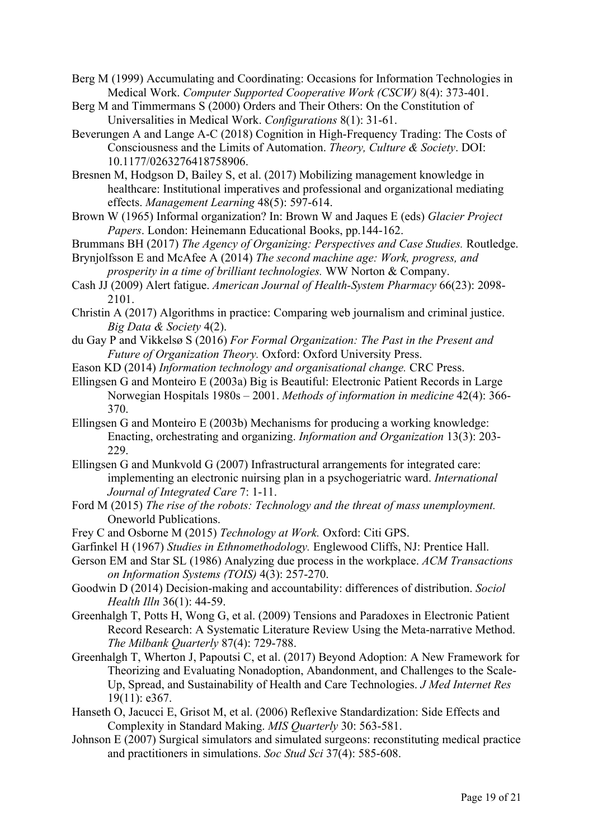Berg M (1999) Accumulating and Coordinating: Occasions for Information Technologies in Medical Work. *Computer Supported Cooperative Work (CSCW)* 8(4): 373-401.

- Berg M and Timmermans S (2000) Orders and Their Others: On the Constitution of Universalities in Medical Work. *Configurations* 8(1): 31-61.
- Beverungen A and Lange A-C (2018) Cognition in High-Frequency Trading: The Costs of Consciousness and the Limits of Automation. *Theory, Culture & Society*. DOI: 10.1177/0263276418758906.

Bresnen M, Hodgson D, Bailey S, et al. (2017) Mobilizing management knowledge in healthcare: Institutional imperatives and professional and organizational mediating effects. *Management Learning* 48(5): 597-614.

Brown W (1965) Informal organization? In: Brown W and Jaques E (eds) *Glacier Project Papers*. London: Heinemann Educational Books, pp.144-162.

Brummans BH (2017) *The Agency of Organizing: Perspectives and Case Studies.* Routledge.

Brynjolfsson E and McAfee A (2014) *The second machine age: Work, progress, and prosperity in a time of brilliant technologies.* WW Norton & Company.

Cash JJ (2009) Alert fatigue. *American Journal of Health-System Pharmacy* 66(23): 2098- 2101.

Christin A (2017) Algorithms in practice: Comparing web journalism and criminal justice. *Big Data & Society* 4(2).

du Gay P and Vikkelsø S (2016) *For Formal Organization: The Past in the Present and Future of Organization Theory.* Oxford: Oxford University Press.

Eason KD (2014) *Information technology and organisational change.* CRC Press.

Ellingsen G and Monteiro E (2003a) Big is Beautiful: Electronic Patient Records in Large Norwegian Hospitals 1980s – 2001. *Methods of information in medicine* 42(4): 366- 370.

Ellingsen G and Monteiro E (2003b) Mechanisms for producing a working knowledge: Enacting, orchestrating and organizing. *Information and Organization* 13(3): 203- 229.

Ellingsen G and Munkvold G (2007) Infrastructural arrangements for integrated care: implementing an electronic nuirsing plan in a psychogeriatric ward. *International Journal of Integrated Care* 7: 1-11.

- Ford M (2015) *The rise of the robots: Technology and the threat of mass unemployment.* Oneworld Publications.
- Frey C and Osborne M (2015) *Technology at Work.* Oxford: Citi GPS.
- Garfinkel H (1967) *Studies in Ethnomethodology.* Englewood Cliffs, NJ: Prentice Hall.
- Gerson EM and Star SL (1986) Analyzing due process in the workplace. *ACM Transactions on Information Systems (TOIS)* 4(3): 257-270.

Goodwin D (2014) Decision-making and accountability: differences of distribution. *Sociol Health Illn* 36(1): 44-59.

Greenhalgh T, Potts H, Wong G, et al. (2009) Tensions and Paradoxes in Electronic Patient Record Research: A Systematic Literature Review Using the Meta-narrative Method. *The Milbank Quarterly* 87(4): 729-788.

Greenhalgh T, Wherton J, Papoutsi C, et al. (2017) Beyond Adoption: A New Framework for Theorizing and Evaluating Nonadoption, Abandonment, and Challenges to the Scale-Up, Spread, and Sustainability of Health and Care Technologies. *J Med Internet Res* 19(11): e367.

Hanseth O, Jacucci E, Grisot M, et al. (2006) Reflexive Standardization: Side Effects and Complexity in Standard Making. *MIS Quarterly* 30: 563-581.

Johnson E (2007) Surgical simulators and simulated surgeons: reconstituting medical practice and practitioners in simulations. *Soc Stud Sci* 37(4): 585-608.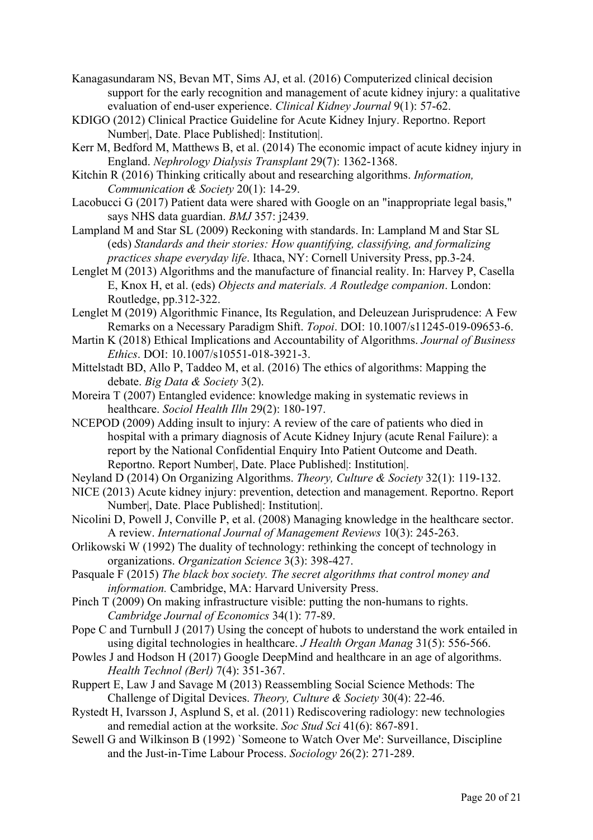Kanagasundaram NS, Bevan MT, Sims AJ, et al. (2016) Computerized clinical decision support for the early recognition and management of acute kidney injury: a qualitative evaluation of end-user experience. *Clinical Kidney Journal* 9(1): 57-62.

KDIGO (2012) Clinical Practice Guideline for Acute Kidney Injury. Reportno. Report Number|, Date. Place Published|: Institution|.

Kerr M, Bedford M, Matthews B, et al. (2014) The economic impact of acute kidney injury in England. *Nephrology Dialysis Transplant* 29(7): 1362-1368.

Kitchin R (2016) Thinking critically about and researching algorithms. *Information, Communication & Society* 20(1): 14-29.

Lacobucci G (2017) Patient data were shared with Google on an "inappropriate legal basis," says NHS data guardian. *BMJ* 357: j2439.

Lampland M and Star SL (2009) Reckoning with standards. In: Lampland M and Star SL (eds) *Standards and their stories: How quantifying, classifying, and formalizing practices shape everyday life*. Ithaca, NY: Cornell University Press, pp.3-24.

Lenglet M (2013) Algorithms and the manufacture of financial reality. In: Harvey P, Casella E, Knox H, et al. (eds) *Objects and materials. A Routledge companion*. London: Routledge, pp.312-322.

Lenglet M (2019) Algorithmic Finance, Its Regulation, and Deleuzean Jurisprudence: A Few Remarks on a Necessary Paradigm Shift. *Topoi*. DOI: 10.1007/s11245-019-09653-6.

Martin K (2018) Ethical Implications and Accountability of Algorithms. *Journal of Business Ethics*. DOI: 10.1007/s10551-018-3921-3.

Mittelstadt BD, Allo P, Taddeo M, et al. (2016) The ethics of algorithms: Mapping the debate. *Big Data & Society* 3(2).

Moreira T (2007) Entangled evidence: knowledge making in systematic reviews in healthcare. *Sociol Health Illn* 29(2): 180-197.

NCEPOD (2009) Adding insult to injury: A review of the care of patients who died in hospital with a primary diagnosis of Acute Kidney Injury (acute Renal Failure): a report by the National Confidential Enquiry Into Patient Outcome and Death. Reportno. Report Number|, Date. Place Published|: Institution|.

Neyland D (2014) On Organizing Algorithms. *Theory, Culture & Society* 32(1): 119-132.

NICE (2013) Acute kidney injury: prevention, detection and management. Reportno. Report Number|, Date. Place Published|: Institution|.

Nicolini D, Powell J, Conville P, et al. (2008) Managing knowledge in the healthcare sector. A review. *International Journal of Management Reviews* 10(3): 245-263.

Orlikowski W (1992) The duality of technology: rethinking the concept of technology in organizations. *Organization Science* 3(3): 398-427.

Pasquale F (2015) *The black box society. The secret algorithms that control money and information.* Cambridge, MA: Harvard University Press.

Pinch T (2009) On making infrastructure visible: putting the non-humans to rights. *Cambridge Journal of Economics* 34(1): 77-89.

Pope C and Turnbull J (2017) Using the concept of hubots to understand the work entailed in using digital technologies in healthcare. *J Health Organ Manag* 31(5): 556-566.

Powles J and Hodson H (2017) Google DeepMind and healthcare in an age of algorithms. *Health Technol (Berl)* 7(4): 351-367.

Ruppert E, Law J and Savage M (2013) Reassembling Social Science Methods: The Challenge of Digital Devices. *Theory, Culture & Society* 30(4): 22-46.

Rystedt H, Ivarsson J, Asplund S, et al. (2011) Rediscovering radiology: new technologies and remedial action at the worksite. *Soc Stud Sci* 41(6): 867-891.

Sewell G and Wilkinson B (1992) `Someone to Watch Over Me': Surveillance, Discipline and the Just-in-Time Labour Process. *Sociology* 26(2): 271-289.